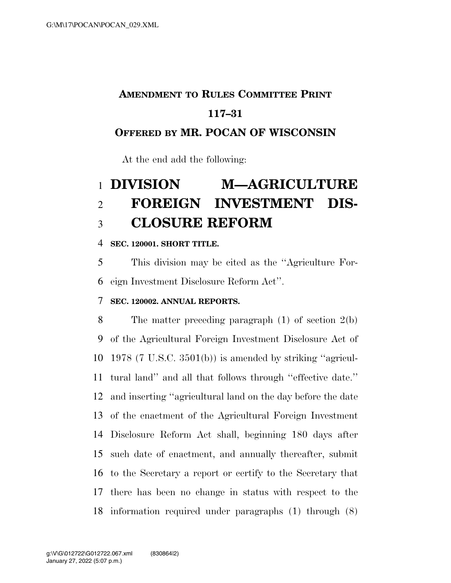### **AMENDMENT TO RULES COMMITTEE PRINT**

### **117–31**

#### **OFFERED BY MR. POCAN OF WISCONSIN**

At the end add the following:

# **DIVISION M—AGRICULTURE FOREIGN INVESTMENT DIS-CLOSURE REFORM**

#### **SEC. 120001. SHORT TITLE.**

 This division may be cited as the ''Agriculture For-eign Investment Disclosure Reform Act''.

#### **SEC. 120002. ANNUAL REPORTS.**

 The matter preceding paragraph (1) of section 2(b) of the Agricultural Foreign Investment Disclosure Act of 1978 (7 U.S.C. 3501(b)) is amended by striking ''agricul- tural land'' and all that follows through ''effective date.'' and inserting ''agricultural land on the day before the date of the enactment of the Agricultural Foreign Investment Disclosure Reform Act shall, beginning 180 days after such date of enactment, and annually thereafter, submit to the Secretary a report or certify to the Secretary that there has been no change in status with respect to the information required under paragraphs (1) through (8)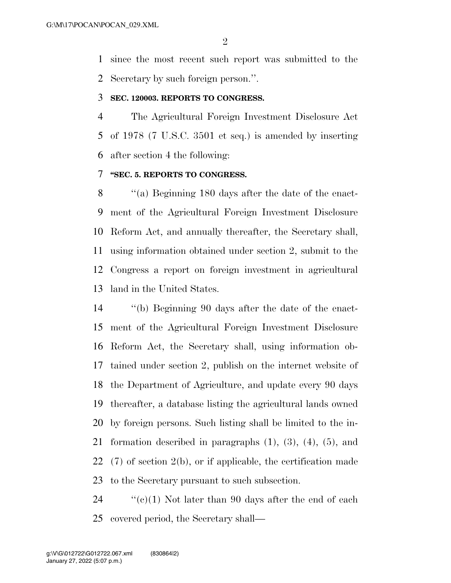since the most recent such report was submitted to the Secretary by such foreign person.''.

#### **SEC. 120003. REPORTS TO CONGRESS.**

 The Agricultural Foreign Investment Disclosure Act of 1978 (7 U.S.C. 3501 et seq.) is amended by inserting after section 4 the following:

#### **''SEC. 5. REPORTS TO CONGRESS.**

 ''(a) Beginning 180 days after the date of the enact- ment of the Agricultural Foreign Investment Disclosure Reform Act, and annually thereafter, the Secretary shall, using information obtained under section 2, submit to the Congress a report on foreign investment in agricultural land in the United States.

 ''(b) Beginning 90 days after the date of the enact- ment of the Agricultural Foreign Investment Disclosure Reform Act, the Secretary shall, using information ob- tained under section 2, publish on the internet website of the Department of Agriculture, and update every 90 days thereafter, a database listing the agricultural lands owned by foreign persons. Such listing shall be limited to the in- formation described in paragraphs (1), (3), (4), (5), and (7) of section 2(b), or if applicable, the certification made to the Secretary pursuant to such subsection.

24  $\cdot$  (c)(1) Not later than 90 days after the end of each covered period, the Secretary shall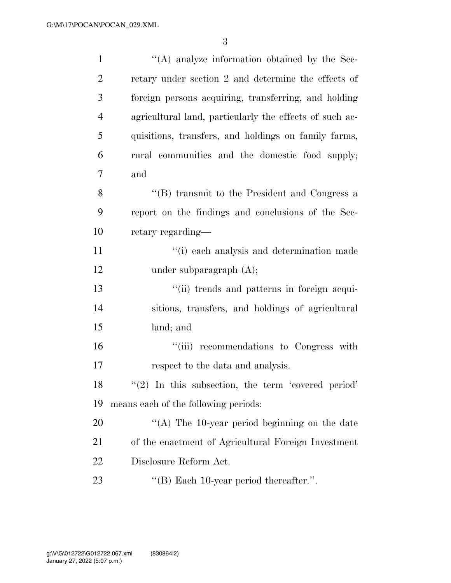3

| $\mathbf{1}$   | "(A) analyze information obtained by the Sec-           |
|----------------|---------------------------------------------------------|
| $\overline{2}$ | retary under section 2 and determine the effects of     |
| 3              | foreign persons acquiring, transferring, and holding    |
| $\overline{4}$ | agricultural land, particularly the effects of such ac- |
| 5              | quisitions, transfers, and holdings on family farms,    |
| 6              | rural communities and the domestic food supply;         |
| 7              | and                                                     |
| 8              | "(B) transmit to the President and Congress a           |
| 9              | report on the findings and conclusions of the Sec-      |
| 10             | retary regarding—                                       |
| 11             | "(i) each analysis and determination made               |
| 12             | under subparagraph $(A)$ ;                              |
| 13             | "(ii) trends and patterns in foreign acqui-             |
| 14             | sitions, transfers, and holdings of agricultural        |
| 15             | land; and                                               |
| 16             | "(iii) recommendations to Congress with                 |
| 17             | respect to the data and analysis.                       |
| 18             | $\lq(2)$ In this subsection, the term 'covered period'  |
| 19             | means each of the following periods:                    |
| 20             | "(A) The 10-year period beginning on the date           |
| 21             | of the enactment of Agricultural Foreign Investment     |
| 22             | Disclosure Reform Act.                                  |
| 23             | "(B) Each $10$ -year period thereafter.".               |